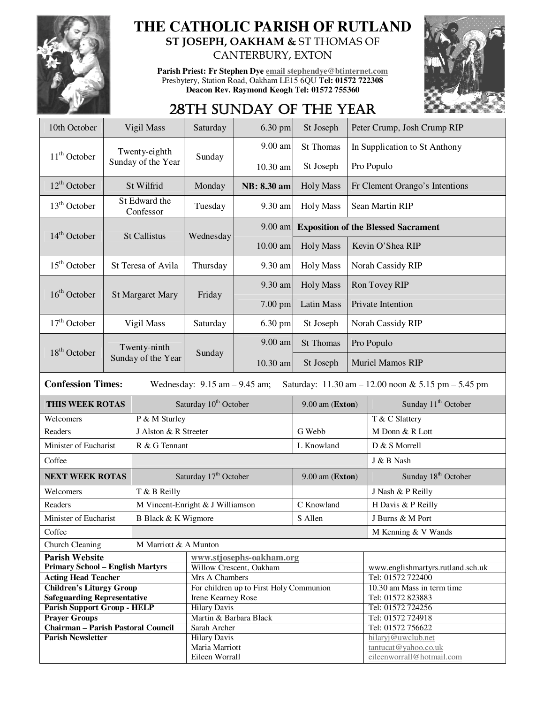

## **THE CATHOLIC PARISH OF RUTLAND ST JOSEPH, OAKHAM &** ST THOMAS OF CANTERBURY, EXTON

**Parish Priest: Fr Stephen Dye email stephendye@btinternet.com** Presbytery, Station Road, Oakham LE15 6QU **Tel: 01572 722308 Deacon Rev. Raymond Keogh Tel: 01572 755360** 



## 28TH SUNDAY OF THE YEAR

| 10th October                                                     | Vigil Mass                                                                                                           |                       | Saturday                              | 6.30 pm                                             | St Joseph         |                   | Peter Crump, Josh Crump RIP                |  |  |
|------------------------------------------------------------------|----------------------------------------------------------------------------------------------------------------------|-----------------------|---------------------------------------|-----------------------------------------------------|-------------------|-------------------|--------------------------------------------|--|--|
|                                                                  |                                                                                                                      | Twenty-eighth         |                                       | 9.00 am                                             | St Thomas         |                   | In Supplication to St Anthony              |  |  |
| $11th$ October                                                   |                                                                                                                      | Sunday of the Year    | Sunday                                | 10.30 am                                            | St Joseph         |                   | Pro Populo                                 |  |  |
| $12^{\text{th}}$ October                                         | St Wilfrid                                                                                                           |                       | Monday                                | NB: 8.30 am                                         | <b>Holy Mass</b>  |                   | Fr Clement Orango's Intentions             |  |  |
| $13th$ October                                                   | St Edward the<br>Confessor                                                                                           |                       | Tuesday                               | 9.30 am                                             | <b>Holy Mass</b>  | Sean Martin RIP   |                                            |  |  |
| $14th$ October                                                   | <b>St Callistus</b>                                                                                                  |                       | Wednesday                             | 9.00 am                                             |                   |                   | <b>Exposition of the Blessed Sacrament</b> |  |  |
|                                                                  |                                                                                                                      |                       |                                       | $10.00$ am                                          | <b>Holy Mass</b>  |                   | Kevin O'Shea RIP                           |  |  |
| $15th$ October                                                   | St Teresa of Avila                                                                                                   |                       | Thursday                              | 9.30 am                                             | <b>Holy Mass</b>  | Norah Cassidy RIP |                                            |  |  |
| $16th$ October                                                   |                                                                                                                      |                       | Friday                                | 9.30 am                                             | <b>Holy Mass</b>  | Ron Tovey RIP     |                                            |  |  |
|                                                                  | <b>St Margaret Mary</b>                                                                                              |                       |                                       | $7.00$ pm                                           | <b>Latin Mass</b> | Private Intention |                                            |  |  |
| $17th$ October                                                   | Vigil Mass                                                                                                           |                       | Saturday                              | 6.30 pm                                             | St Joseph         | Norah Cassidy RIP |                                            |  |  |
| $18th$ October                                                   |                                                                                                                      | Twenty-ninth          | Sunday                                | 9.00 am                                             | St Thomas         |                   | Pro Populo                                 |  |  |
|                                                                  |                                                                                                                      | Sunday of the Year    |                                       | 10.30 am                                            | St Joseph         |                   | Muriel Mamos RIP                           |  |  |
|                                                                  | <b>Confession Times:</b><br>Wednesday: $9.15$ am $- 9.45$ am;<br>Saturday: 11.30 am - 12.00 noon & 5.15 pm - 5.45 pm |                       |                                       |                                                     |                   |                   |                                            |  |  |
| THIS WEEK ROTAS                                                  |                                                                                                                      |                       |                                       |                                                     |                   |                   |                                            |  |  |
|                                                                  |                                                                                                                      |                       | Saturday 10 <sup>th</sup> October     |                                                     | 9.00 am (Exton)   |                   | Sunday 11 <sup>th</sup> October            |  |  |
| Welcomers                                                        |                                                                                                                      | P & M Sturley         |                                       |                                                     |                   |                   | T & C Slattery                             |  |  |
| Readers                                                          |                                                                                                                      | J Alston & R Streeter |                                       |                                                     | G Webb            |                   | M Donn & R Lott                            |  |  |
| Minister of Eucharist                                            |                                                                                                                      | R & G Tennant         |                                       |                                                     | L Knowland        |                   | D & S Morrell                              |  |  |
| Coffee                                                           |                                                                                                                      |                       |                                       |                                                     |                   |                   | J & B Nash                                 |  |  |
| <b>NEXT WEEK ROTAS</b>                                           |                                                                                                                      |                       | Saturday 17 <sup>th</sup> October     |                                                     | $9.00$ am (Exton) |                   | Sunday 18 <sup>th</sup> October            |  |  |
| Welcomers                                                        |                                                                                                                      | T & B Reilly          |                                       |                                                     |                   |                   | J Nash & P Reilly                          |  |  |
| Readers                                                          |                                                                                                                      |                       | M Vincent-Enright & J Williamson      |                                                     | C Knowland        |                   | H Davis & P Reilly                         |  |  |
| Minister of Eucharist                                            |                                                                                                                      | B Black & K Wigmore   |                                       |                                                     | S Allen           |                   | J Burns & M Port                           |  |  |
| Coffee                                                           |                                                                                                                      |                       |                                       |                                                     |                   |                   | M Kenning & V Wands                        |  |  |
|                                                                  |                                                                                                                      | M Marriott & A Munton |                                       |                                                     |                   |                   |                                            |  |  |
| Church Cleaning                                                  |                                                                                                                      |                       |                                       |                                                     |                   |                   |                                            |  |  |
| <b>Parish Website</b><br><b>Primary School - English Martyrs</b> |                                                                                                                      |                       |                                       | www.stjosephs-oakham.org<br>Willow Crescent, Oakham |                   |                   | www.englishmartyrs.rutland.sch.uk          |  |  |
| <b>Acting Head Teacher</b>                                       |                                                                                                                      |                       | Mrs A Chambers                        |                                                     |                   |                   | Tel: 01572 722400                          |  |  |
| <b>Children's Liturgy Group</b>                                  |                                                                                                                      |                       |                                       | For children up to First Holy Communion             |                   |                   | 10.30 am Mass in term time                 |  |  |
| <b>Safeguarding Representative</b>                               |                                                                                                                      |                       | Irene Kearney Rose                    |                                                     |                   |                   | Tel: 01572 823883                          |  |  |
| <b>Parish Support Group - HELP</b>                               |                                                                                                                      |                       | <b>Hilary Davis</b>                   |                                                     |                   |                   | Tel: 01572 724256                          |  |  |
| <b>Prayer Groups</b>                                             |                                                                                                                      |                       | Martin & Barbara Black                |                                                     |                   |                   | Tel: 01572 724918                          |  |  |
| <b>Chairman - Parish Pastoral Council</b>                        |                                                                                                                      |                       | Sarah Archer                          |                                                     |                   |                   | Tel: 01572 756622                          |  |  |
| <b>Parish Newsletter</b>                                         |                                                                                                                      |                       | <b>Hilary Davis</b><br>Maria Marriott |                                                     |                   |                   | hilaryj@uwclub.net<br>tantucat@yahoo.co.uk |  |  |